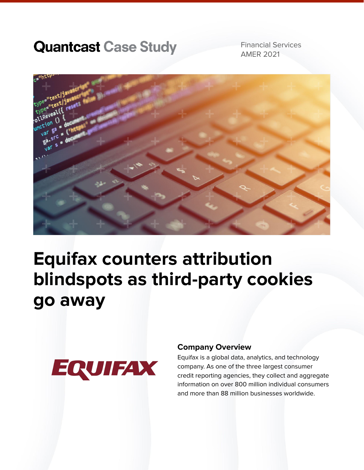# **Quantcast Case Study**

Financial Services AMER 2021



# **Equifax counters attribution blindspots as third-party cookies go away**



#### **Company Overview**

Equifax is a global data, analytics, and technology company. As one of the three largest consumer credit reporting agencies, they collect and aggregate information on over 800 million individual consumers and more than 88 million businesses worldwide.